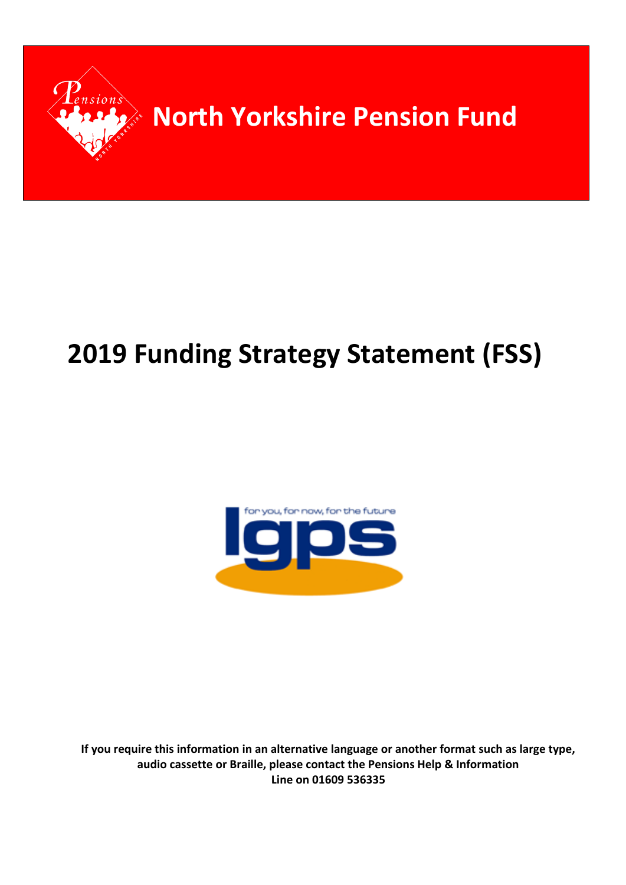

# **2019 Funding Strategy Statement (FSS)**



**If you require this information in an alternative language or another format such as large type, audio cassette or Braille, please contact the Pensions Help & Information Line on 01609 536335**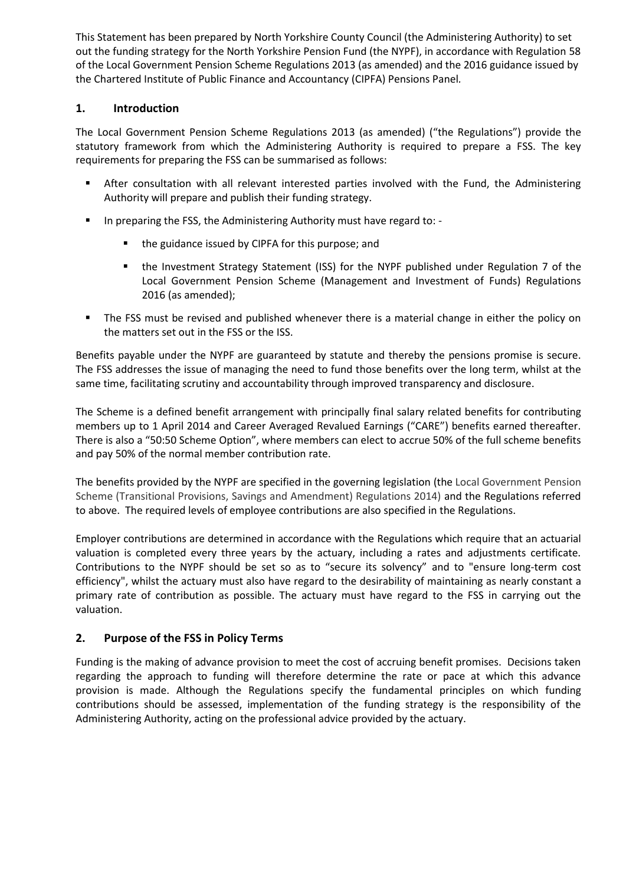This Statement has been prepared by North Yorkshire County Council (the Administering Authority) to set out the funding strategy for the North Yorkshire Pension Fund (the NYPF), in accordance with Regulation 58 of the Local Government Pension Scheme Regulations 2013 (as amended) and the 2016 guidance issued by the Chartered Institute of Public Finance and Accountancy (CIPFA) Pensions Panel*.*

# **1. Introduction**

The Local Government Pension Scheme Regulations 2013 (as amended) ("the Regulations") provide the statutory framework from which the Administering Authority is required to prepare a FSS. The key requirements for preparing the FSS can be summarised as follows:

- After consultation with all relevant interested parties involved with the Fund, the Administering Authority will prepare and publish their funding strategy.
- In preparing the FSS, the Administering Authority must have regard to: -
	- the guidance issued by CIPFA for this purpose; and
	- the Investment Strategy Statement (ISS) for the NYPF published under Regulation 7 of the Local Government Pension Scheme (Management and Investment of Funds) Regulations 2016 (as amended);
- The FSS must be revised and published whenever there is a material change in either the policy on the matters set out in the FSS or the ISS.

Benefits payable under the NYPF are guaranteed by statute and thereby the pensions promise is secure. The FSS addresses the issue of managing the need to fund those benefits over the long term, whilst at the same time, facilitating scrutiny and accountability through improved transparency and disclosure.

The Scheme is a defined benefit arrangement with principally final salary related benefits for contributing members up to 1 April 2014 and Career Averaged Revalued Earnings ("CARE") benefits earned thereafter. There is also a "50:50 Scheme Option", where members can elect to accrue 50% of the full scheme benefits and pay 50% of the normal member contribution rate.

The benefits provided by the NYPF are specified in the governing legislation (the Local Government Pension Scheme (Transitional Provisions, Savings and Amendment) Regulations 2014) and the Regulations referred to above. The required levels of employee contributions are also specified in the Regulations.

Employer contributions are determined in accordance with the Regulations which require that an actuarial valuation is completed every three years by the actuary, including a rates and adjustments certificate. Contributions to the NYPF should be set so as to "secure its solvency" and to "ensure long-term cost efficiency", whilst the actuary must also have regard to the desirability of maintaining as nearly constant a primary rate of contribution as possible. The actuary must have regard to the FSS in carrying out the valuation.

# **2. Purpose of the FSS in Policy Terms**

Funding is the making of advance provision to meet the cost of accruing benefit promises. Decisions taken regarding the approach to funding will therefore determine the rate or pace at which this advance provision is made. Although the Regulations specify the fundamental principles on which funding contributions should be assessed, implementation of the funding strategy is the responsibility of the Administering Authority, acting on the professional advice provided by the actuary.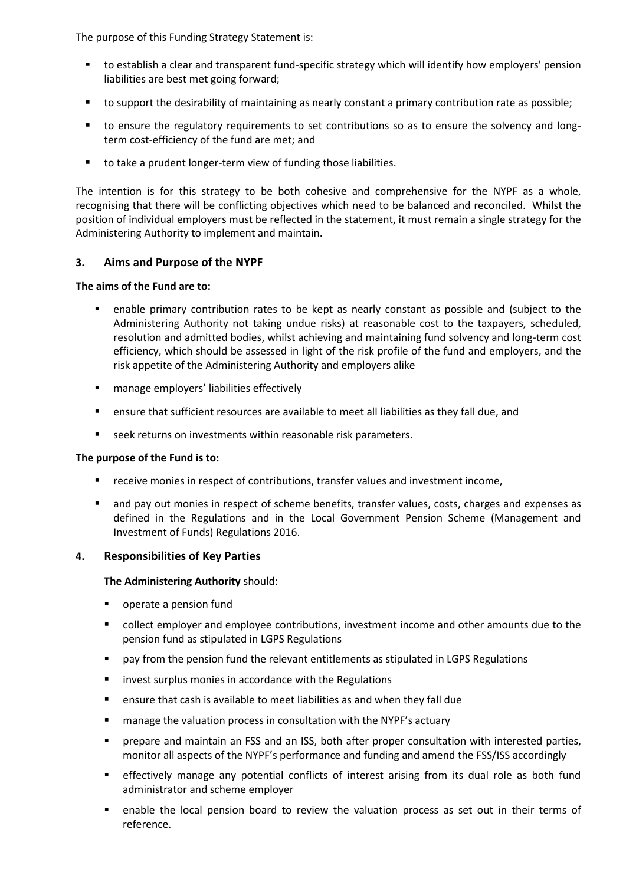The purpose of this Funding Strategy Statement is:

- to establish a clear and transparent fund-specific strategy which will identify how employers' pension liabilities are best met going forward;
- to support the desirability of maintaining as nearly constant a primary contribution rate as possible;
- to ensure the regulatory requirements to set contributions so as to ensure the solvency and longterm cost-efficiency of the fund are met; and
- to take a prudent longer-term view of funding those liabilities.

The intention is for this strategy to be both cohesive and comprehensive for the NYPF as a whole, recognising that there will be conflicting objectives which need to be balanced and reconciled. Whilst the position of individual employers must be reflected in the statement, it must remain a single strategy for the Administering Authority to implement and maintain.

## **3. Aims and Purpose of the NYPF**

## **The aims of the Fund are to:**

- enable primary contribution rates to be kept as nearly constant as possible and (subject to the Administering Authority not taking undue risks) at reasonable cost to the taxpayers, scheduled, resolution and admitted bodies, whilst achieving and maintaining fund solvency and long-term cost efficiency, which should be assessed in light of the risk profile of the fund and employers, and the risk appetite of the Administering Authority and employers alike
- **EXECT:** manage employers' liabilities effectively
- ensure that sufficient resources are available to meet all liabilities as they fall due, and
- **EXECTE FIGHT SEEK returns on investments within reasonable risk parameters.**

## **The purpose of the Fund is to:**

- receive monies in respect of contributions, transfer values and investment income,
- and pay out monies in respect of scheme benefits, transfer values, costs, charges and expenses as defined in the Regulations and in the Local Government Pension Scheme (Management and Investment of Funds) Regulations 2016.

## **4. Responsibilities of Key Parties**

**The Administering Authority** should:

- **•** operate a pension fund
- collect employer and employee contributions, investment income and other amounts due to the pension fund as stipulated in LGPS Regulations
- pay from the pension fund the relevant entitlements as stipulated in LGPS Regulations
- invest surplus monies in accordance with the Regulations
- ensure that cash is available to meet liabilities as and when they fall due
- manage the valuation process in consultation with the NYPF's actuary
- prepare and maintain an FSS and an ISS, both after proper consultation with interested parties, monitor all aspects of the NYPF's performance and funding and amend the FSS/ISS accordingly
- effectively manage any potential conflicts of interest arising from its dual role as both fund administrator and scheme employer
- enable the local pension board to review the valuation process as set out in their terms of reference.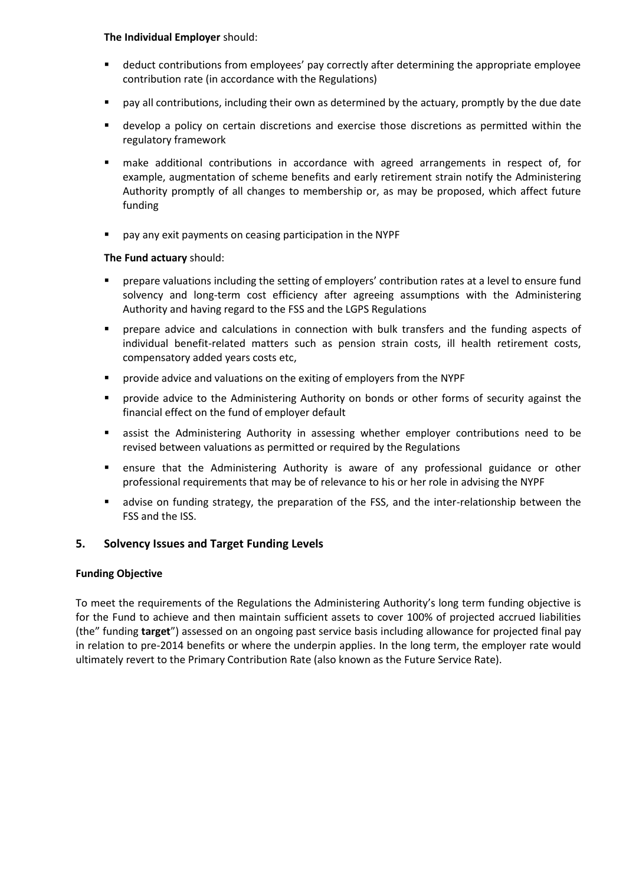## **The Individual Employer** should:

- deduct contributions from employees' pay correctly after determining the appropriate employee contribution rate (in accordance with the Regulations)
- pay all contributions, including their own as determined by the actuary, promptly by the due date
- develop a policy on certain discretions and exercise those discretions as permitted within the regulatory framework
- make additional contributions in accordance with agreed arrangements in respect of, for example, augmentation of scheme benefits and early retirement strain notify the Administering Authority promptly of all changes to membership or, as may be proposed, which affect future funding
- pay any exit payments on ceasing participation in the NYPF

## **The Fund actuary** should:

- prepare valuations including the setting of employers' contribution rates at a level to ensure fund solvency and long-term cost efficiency after agreeing assumptions with the Administering Authority and having regard to the FSS and the LGPS Regulations
- prepare advice and calculations in connection with bulk transfers and the funding aspects of individual benefit-related matters such as pension strain costs, ill health retirement costs, compensatory added years costs etc,
- provide advice and valuations on the exiting of employers from the NYPF
- provide advice to the Administering Authority on bonds or other forms of security against the financial effect on the fund of employer default
- assist the Administering Authority in assessing whether employer contributions need to be revised between valuations as permitted or required by the Regulations
- ensure that the Administering Authority is aware of any professional guidance or other professional requirements that may be of relevance to his or her role in advising the NYPF
- advise on funding strategy, the preparation of the FSS, and the inter-relationship between the FSS and the ISS.

# **5. Solvency Issues and Target Funding Levels**

## **Funding Objective**

To meet the requirements of the Regulations the Administering Authority's long term funding objective is for the Fund to achieve and then maintain sufficient assets to cover 100% of projected accrued liabilities (the" funding **target**") assessed on an ongoing past service basis including allowance for projected final pay in relation to pre-2014 benefits or where the underpin applies. In the long term, the employer rate would ultimately revert to the Primary Contribution Rate (also known as the Future Service Rate).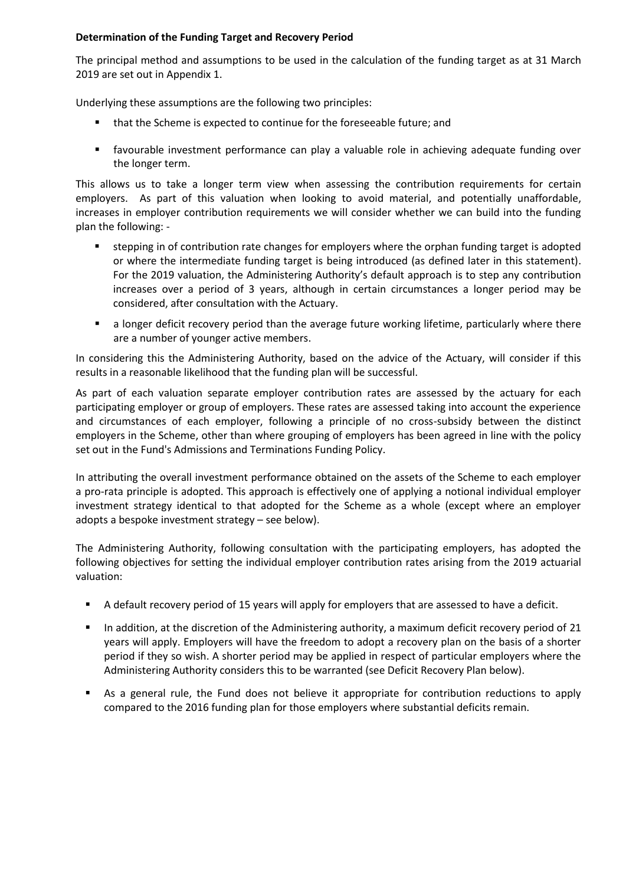## **Determination of the Funding Target and Recovery Period**

The principal method and assumptions to be used in the calculation of the funding target as at 31 March 2019 are set out in Appendix 1.

Underlying these assumptions are the following two principles:

- that the Scheme is expected to continue for the foreseeable future; and
- favourable investment performance can play a valuable role in achieving adequate funding over the longer term.

This allows us to take a longer term view when assessing the contribution requirements for certain employers. As part of this valuation when looking to avoid material, and potentially unaffordable, increases in employer contribution requirements we will consider whether we can build into the funding plan the following: -

- stepping in of contribution rate changes for employers where the orphan funding target is adopted or where the intermediate funding target is being introduced (as defined later in this statement). For the 2019 valuation, the Administering Authority's default approach is to step any contribution increases over a period of 3 years, although in certain circumstances a longer period may be considered, after consultation with the Actuary.
- **a** longer deficit recovery period than the average future working lifetime, particularly where there are a number of younger active members.

In considering this the Administering Authority, based on the advice of the Actuary, will consider if this results in a reasonable likelihood that the funding plan will be successful.

As part of each valuation separate employer contribution rates are assessed by the actuary for each participating employer or group of employers. These rates are assessed taking into account the experience and circumstances of each employer, following a principle of no cross-subsidy between the distinct employers in the Scheme, other than where grouping of employers has been agreed in line with the policy set out in the Fund's Admissions and Terminations Funding Policy.

In attributing the overall investment performance obtained on the assets of the Scheme to each employer a pro-rata principle is adopted. This approach is effectively one of applying a notional individual employer investment strategy identical to that adopted for the Scheme as a whole (except where an employer adopts a bespoke investment strategy – see below).

The Administering Authority, following consultation with the participating employers, has adopted the following objectives for setting the individual employer contribution rates arising from the 2019 actuarial valuation:

- A default recovery period of 15 years will apply for employers that are assessed to have a deficit.
- In addition, at the discretion of the Administering authority, a maximum deficit recovery period of 21 years will apply. Employers will have the freedom to adopt a recovery plan on the basis of a shorter period if they so wish. A shorter period may be applied in respect of particular employers where the Administering Authority considers this to be warranted (see Deficit Recovery Plan below).
- As a general rule, the Fund does not believe it appropriate for contribution reductions to apply compared to the 2016 funding plan for those employers where substantial deficits remain.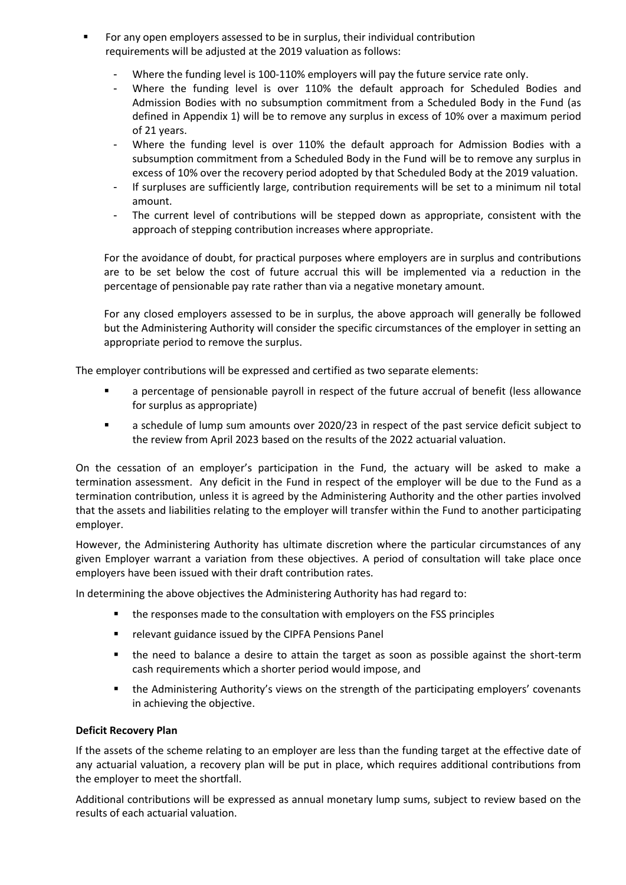- For any open employers assessed to be in surplus, their individual contribution requirements will be adjusted at the 2019 valuation as follows:
	- Where the funding level is 100-110% employers will pay the future service rate only.
	- Where the funding level is over 110% the default approach for Scheduled Bodies and Admission Bodies with no subsumption commitment from a Scheduled Body in the Fund (as defined in Appendix 1) will be to remove any surplus in excess of 10% over a maximum period of 21 years.
	- Where the funding level is over 110% the default approach for Admission Bodies with a subsumption commitment from a Scheduled Body in the Fund will be to remove any surplus in excess of 10% over the recovery period adopted by that Scheduled Body at the 2019 valuation.
	- If surpluses are sufficiently large, contribution requirements will be set to a minimum nil total amount.
	- The current level of contributions will be stepped down as appropriate, consistent with the approach of stepping contribution increases where appropriate.

For the avoidance of doubt, for practical purposes where employers are in surplus and contributions are to be set below the cost of future accrual this will be implemented via a reduction in the percentage of pensionable pay rate rather than via a negative monetary amount.

For any closed employers assessed to be in surplus, the above approach will generally be followed but the Administering Authority will consider the specific circumstances of the employer in setting an appropriate period to remove the surplus.

The employer contributions will be expressed and certified as two separate elements:

- a percentage of pensionable payroll in respect of the future accrual of benefit (less allowance for surplus as appropriate)
- a schedule of lump sum amounts over 2020/23 in respect of the past service deficit subject to the review from April 2023 based on the results of the 2022 actuarial valuation.

On the cessation of an employer's participation in the Fund, the actuary will be asked to make a termination assessment. Any deficit in the Fund in respect of the employer will be due to the Fund as a termination contribution, unless it is agreed by the Administering Authority and the other parties involved that the assets and liabilities relating to the employer will transfer within the Fund to another participating employer.

However, the Administering Authority has ultimate discretion where the particular circumstances of any given Employer warrant a variation from these objectives. A period of consultation will take place once employers have been issued with their draft contribution rates.

In determining the above objectives the Administering Authority has had regard to:

- the responses made to the consultation with employers on the FSS principles
- **F** relevant guidance issued by the CIPFA Pensions Panel
- the need to balance a desire to attain the target as soon as possible against the short-term cash requirements which a shorter period would impose, and
- the Administering Authority's views on the strength of the participating employers' covenants in achieving the objective.

## **Deficit Recovery Plan**

If the assets of the scheme relating to an employer are less than the funding target at the effective date of any actuarial valuation, a recovery plan will be put in place, which requires additional contributions from the employer to meet the shortfall.

Additional contributions will be expressed as annual monetary lump sums, subject to review based on the results of each actuarial valuation.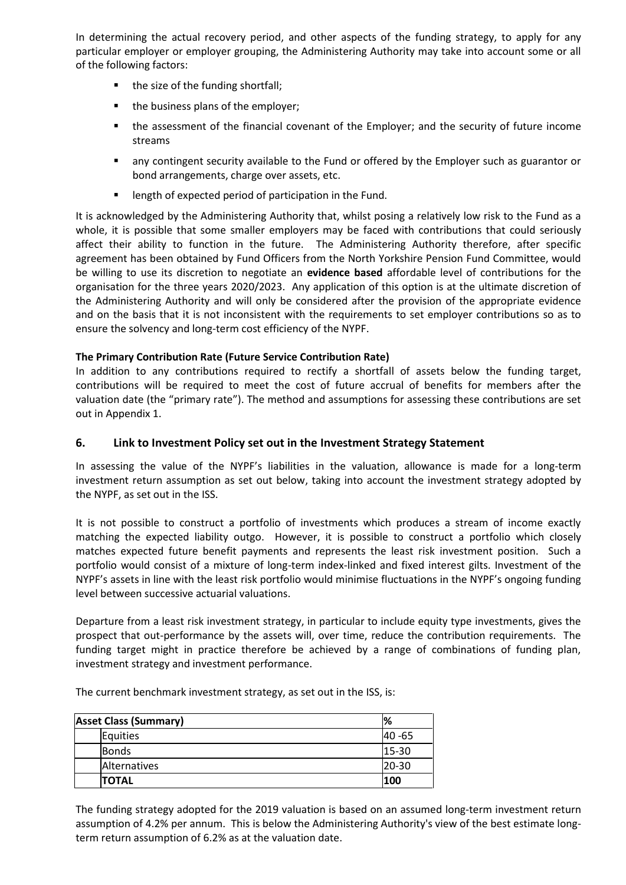In determining the actual recovery period, and other aspects of the funding strategy, to apply for any particular employer or employer grouping, the Administering Authority may take into account some or all of the following factors:

- the size of the funding shortfall;
- $\blacksquare$  the business plans of the employer;
- the assessment of the financial covenant of the Employer; and the security of future income streams
- any contingent security available to the Fund or offered by the Employer such as guarantor or bond arrangements, charge over assets, etc.
- **EXECTE HISTORY IS EXECTED FOR THE FULL FIGHT** length of expected period of participation in the Fund.

It is acknowledged by the Administering Authority that, whilst posing a relatively low risk to the Fund as a whole, it is possible that some smaller employers may be faced with contributions that could seriously affect their ability to function in the future. The Administering Authority therefore, after specific agreement has been obtained by Fund Officers from the North Yorkshire Pension Fund Committee, would be willing to use its discretion to negotiate an **evidence based** affordable level of contributions for the organisation for the three years 2020/2023. Any application of this option is at the ultimate discretion of the Administering Authority and will only be considered after the provision of the appropriate evidence and on the basis that it is not inconsistent with the requirements to set employer contributions so as to ensure the solvency and long-term cost efficiency of the NYPF.

# **The Primary Contribution Rate (Future Service Contribution Rate)**

In addition to any contributions required to rectify a shortfall of assets below the funding target, contributions will be required to meet the cost of future accrual of benefits for members after the valuation date (the "primary rate"). The method and assumptions for assessing these contributions are set out in Appendix 1.

# **6. Link to Investment Policy set out in the Investment Strategy Statement**

In assessing the value of the NYPF's liabilities in the valuation, allowance is made for a long-term investment return assumption as set out below, taking into account the investment strategy adopted by the NYPF, as set out in the ISS.

It is not possible to construct a portfolio of investments which produces a stream of income exactly matching the expected liability outgo. However, it is possible to construct a portfolio which closely matches expected future benefit payments and represents the least risk investment position. Such a portfolio would consist of a mixture of long-term index-linked and fixed interest gilts. Investment of the NYPF's assets in line with the least risk portfolio would minimise fluctuations in the NYPF's ongoing funding level between successive actuarial valuations.

Departure from a least risk investment strategy, in particular to include equity type investments, gives the prospect that out-performance by the assets will, over time, reduce the contribution requirements. The funding target might in practice therefore be achieved by a range of combinations of funding plan, investment strategy and investment performance.

The current benchmark investment strategy, as set out in the ISS, is:

| <b>Asset Class (Summary)</b> | %              |
|------------------------------|----------------|
| Equities                     | <b>I40 -65</b> |
| <b>Bonds</b>                 | $15-30$        |
| Alternatives                 | $20-30$        |
| ITOTAL                       | 100            |

The funding strategy adopted for the 2019 valuation is based on an assumed long-term investment return assumption of 4.2% per annum. This is below the Administering Authority's view of the best estimate longterm return assumption of 6.2% as at the valuation date.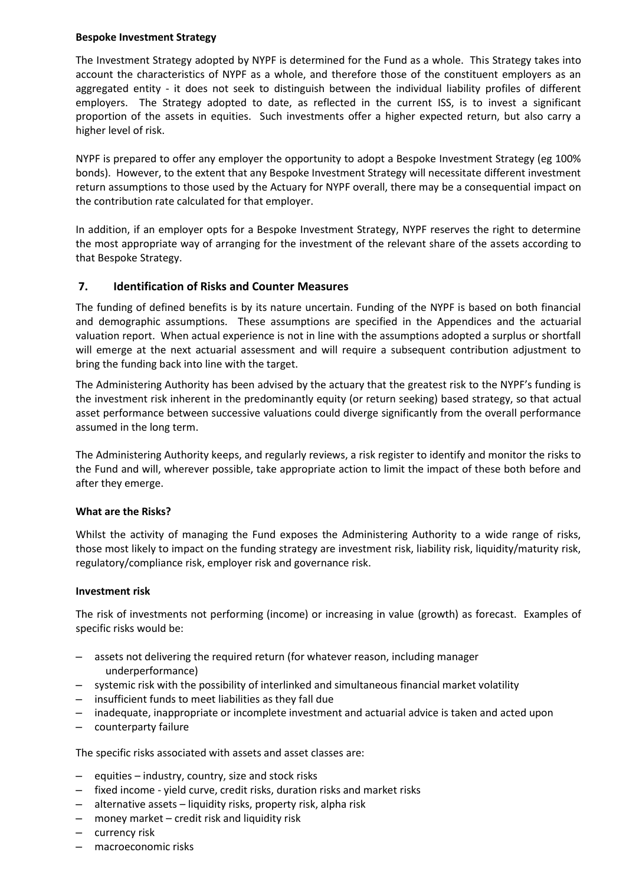## **Bespoke Investment Strategy**

The Investment Strategy adopted by NYPF is determined for the Fund as a whole. This Strategy takes into account the characteristics of NYPF as a whole, and therefore those of the constituent employers as an aggregated entity - it does not seek to distinguish between the individual liability profiles of different employers. The Strategy adopted to date, as reflected in the current ISS, is to invest a significant proportion of the assets in equities. Such investments offer a higher expected return, but also carry a higher level of risk.

NYPF is prepared to offer any employer the opportunity to adopt a Bespoke Investment Strategy (eg 100% bonds). However, to the extent that any Bespoke Investment Strategy will necessitate different investment return assumptions to those used by the Actuary for NYPF overall, there may be a consequential impact on the contribution rate calculated for that employer.

In addition, if an employer opts for a Bespoke Investment Strategy, NYPF reserves the right to determine the most appropriate way of arranging for the investment of the relevant share of the assets according to that Bespoke Strategy.

# **7. Identification of Risks and Counter Measures**

The funding of defined benefits is by its nature uncertain. Funding of the NYPF is based on both financial and demographic assumptions. These assumptions are specified in the Appendices and the actuarial valuation report. When actual experience is not in line with the assumptions adopted a surplus or shortfall will emerge at the next actuarial assessment and will require a subsequent contribution adjustment to bring the funding back into line with the target.

The Administering Authority has been advised by the actuary that the greatest risk to the NYPF's funding is the investment risk inherent in the predominantly equity (or return seeking) based strategy, so that actual asset performance between successive valuations could diverge significantly from the overall performance assumed in the long term.

The Administering Authority keeps, and regularly reviews, a risk register to identify and monitor the risks to the Fund and will, wherever possible, take appropriate action to limit the impact of these both before and after they emerge.

## **What are the Risks?**

Whilst the activity of managing the Fund exposes the Administering Authority to a wide range of risks, those most likely to impact on the funding strategy are investment risk, liability risk, liquidity/maturity risk, regulatory/compliance risk, employer risk and governance risk.

## **Investment risk**

The risk of investments not performing (income) or increasing in value (growth) as forecast. Examples of specific risks would be:

- assets not delivering the required return (for whatever reason, including manager underperformance)
- systemic risk with the possibility of interlinked and simultaneous financial market volatility
- insufficient funds to meet liabilities as they fall due
- inadequate, inappropriate or incomplete investment and actuarial advice is taken and acted upon
- counterparty failure

The specific risks associated with assets and asset classes are:

- equities industry, country, size and stock risks
- fixed income yield curve, credit risks, duration risks and market risks
- alternative assets liquidity risks, property risk, alpha risk
- money market credit risk and liquidity risk
- currency risk
- macroeconomic risks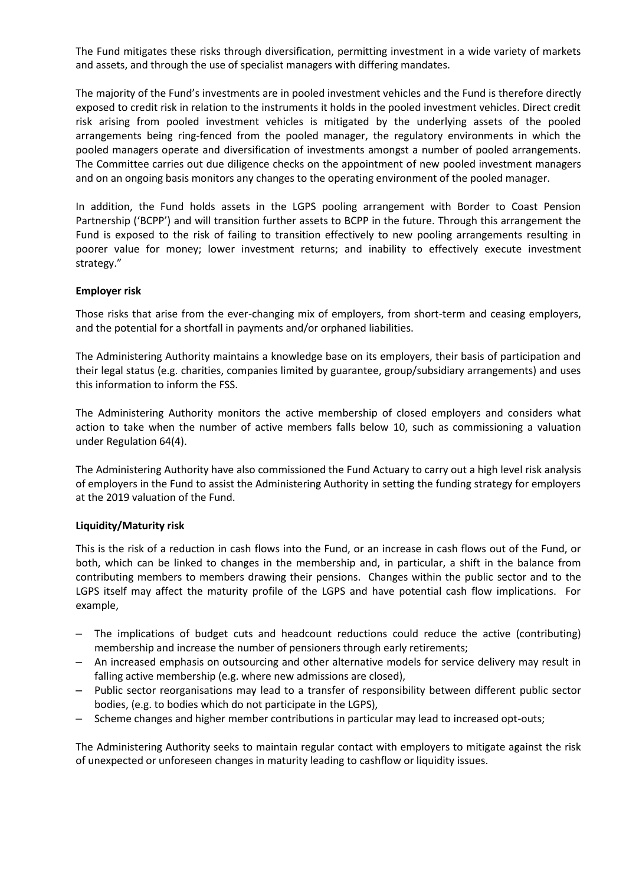The Fund mitigates these risks through diversification, permitting investment in a wide variety of markets and assets, and through the use of specialist managers with differing mandates.

The majority of the Fund's investments are in pooled investment vehicles and the Fund is therefore directly exposed to credit risk in relation to the instruments it holds in the pooled investment vehicles. Direct credit risk arising from pooled investment vehicles is mitigated by the underlying assets of the pooled arrangements being ring-fenced from the pooled manager, the regulatory environments in which the pooled managers operate and diversification of investments amongst a number of pooled arrangements. The Committee carries out due diligence checks on the appointment of new pooled investment managers and on an ongoing basis monitors any changes to the operating environment of the pooled manager.

In addition, the Fund holds assets in the LGPS pooling arrangement with Border to Coast Pension Partnership ('BCPP') and will transition further assets to BCPP in the future. Through this arrangement the Fund is exposed to the risk of failing to transition effectively to new pooling arrangements resulting in poorer value for money; lower investment returns; and inability to effectively execute investment strategy."

## **Employer risk**

Those risks that arise from the ever-changing mix of employers, from short-term and ceasing employers, and the potential for a shortfall in payments and/or orphaned liabilities.

The Administering Authority maintains a knowledge base on its employers, their basis of participation and their legal status (e.g. charities, companies limited by guarantee, group/subsidiary arrangements) and uses this information to inform the FSS.

The Administering Authority monitors the active membership of closed employers and considers what action to take when the number of active members falls below 10, such as commissioning a valuation under Regulation 64(4).

The Administering Authority have also commissioned the Fund Actuary to carry out a high level risk analysis of employers in the Fund to assist the Administering Authority in setting the funding strategy for employers at the 2019 valuation of the Fund.

#### **Liquidity/Maturity risk**

This is the risk of a reduction in cash flows into the Fund, or an increase in cash flows out of the Fund, or both, which can be linked to changes in the membership and, in particular, a shift in the balance from contributing members to members drawing their pensions. Changes within the public sector and to the LGPS itself may affect the maturity profile of the LGPS and have potential cash flow implications. For example,

- The implications of budget cuts and headcount reductions could reduce the active (contributing) membership and increase the number of pensioners through early retirements;
- An increased emphasis on outsourcing and other alternative models for service delivery may result in falling active membership (e.g. where new admissions are closed),
- Public sector reorganisations may lead to a transfer of responsibility between different public sector bodies, (e.g. to bodies which do not participate in the LGPS),
- Scheme changes and higher member contributions in particular may lead to increased opt-outs;

The Administering Authority seeks to maintain regular contact with employers to mitigate against the risk of unexpected or unforeseen changes in maturity leading to cashflow or liquidity issues.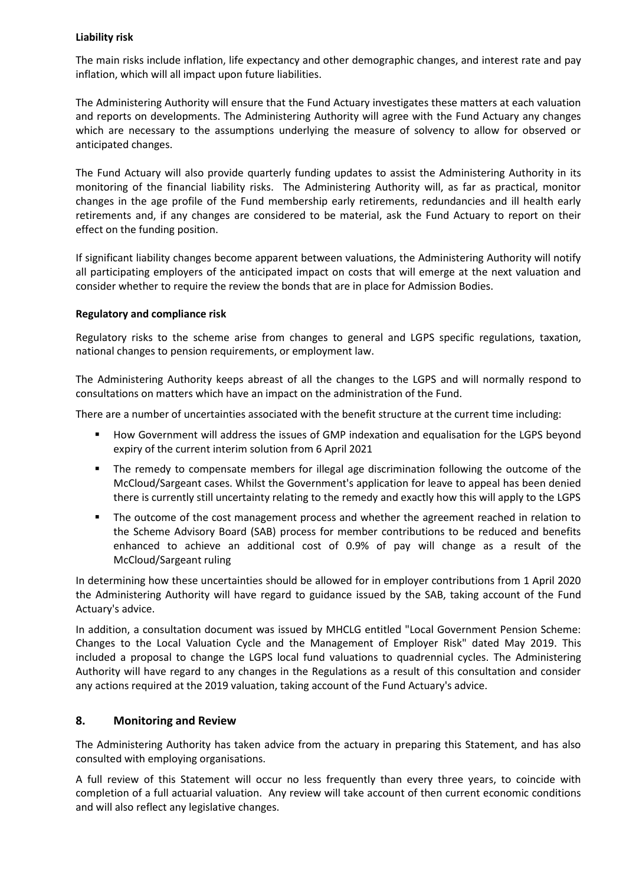## **Liability risk**

The main risks include inflation, life expectancy and other demographic changes, and interest rate and pay inflation, which will all impact upon future liabilities.

The Administering Authority will ensure that the Fund Actuary investigates these matters at each valuation and reports on developments. The Administering Authority will agree with the Fund Actuary any changes which are necessary to the assumptions underlying the measure of solvency to allow for observed or anticipated changes.

The Fund Actuary will also provide quarterly funding updates to assist the Administering Authority in its monitoring of the financial liability risks. The Administering Authority will, as far as practical, monitor changes in the age profile of the Fund membership early retirements, redundancies and ill health early retirements and, if any changes are considered to be material, ask the Fund Actuary to report on their effect on the funding position.

If significant liability changes become apparent between valuations, the Administering Authority will notify all participating employers of the anticipated impact on costs that will emerge at the next valuation and consider whether to require the review the bonds that are in place for Admission Bodies.

## **Regulatory and compliance risk**

Regulatory risks to the scheme arise from changes to general and LGPS specific regulations, taxation, national changes to pension requirements, or employment law.

The Administering Authority keeps abreast of all the changes to the LGPS and will normally respond to consultations on matters which have an impact on the administration of the Fund.

There are a number of uncertainties associated with the benefit structure at the current time including:

- How Government will address the issues of GMP indexation and equalisation for the LGPS beyond expiry of the current interim solution from 6 April 2021
- The remedy to compensate members for illegal age discrimination following the outcome of the McCloud/Sargeant cases. Whilst the Government's application for leave to appeal has been denied there is currently still uncertainty relating to the remedy and exactly how this will apply to the LGPS
- The outcome of the cost management process and whether the agreement reached in relation to the Scheme Advisory Board (SAB) process for member contributions to be reduced and benefits enhanced to achieve an additional cost of 0.9% of pay will change as a result of the McCloud/Sargeant ruling

In determining how these uncertainties should be allowed for in employer contributions from 1 April 2020 the Administering Authority will have regard to guidance issued by the SAB, taking account of the Fund Actuary's advice.

In addition, a consultation document was issued by MHCLG entitled "Local Government Pension Scheme: Changes to the Local Valuation Cycle and the Management of Employer Risk" dated May 2019. This included a proposal to change the LGPS local fund valuations to quadrennial cycles. The Administering Authority will have regard to any changes in the Regulations as a result of this consultation and consider any actions required at the 2019 valuation, taking account of the Fund Actuary's advice.

# **8. Monitoring and Review**

The Administering Authority has taken advice from the actuary in preparing this Statement, and has also consulted with employing organisations.

A full review of this Statement will occur no less frequently than every three years, to coincide with completion of a full actuarial valuation. Any review will take account of then current economic conditions and will also reflect any legislative changes.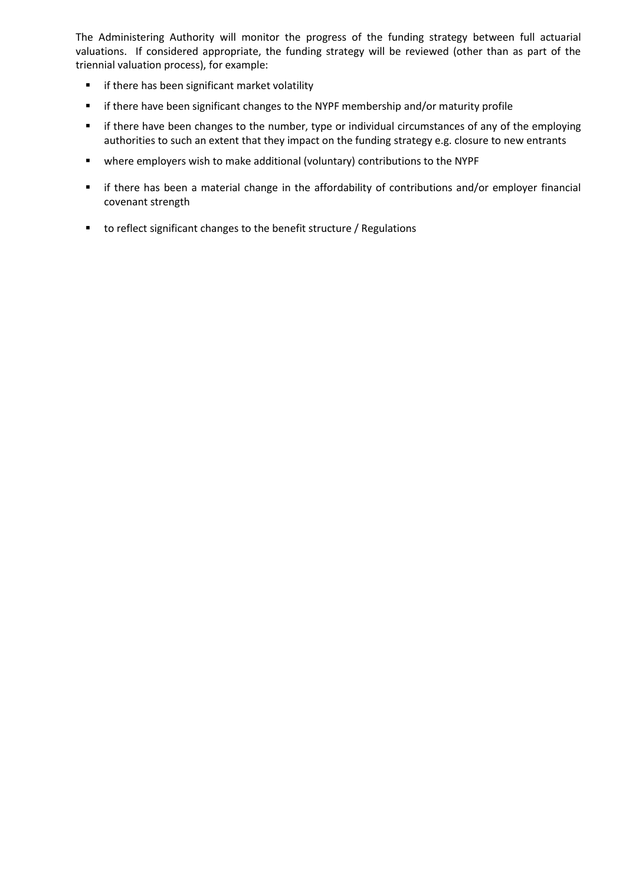The Administering Authority will monitor the progress of the funding strategy between full actuarial valuations. If considered appropriate, the funding strategy will be reviewed (other than as part of the triennial valuation process), for example:

- **F** if there has been significant market volatility
- **F** if there have been significant changes to the NYPF membership and/or maturity profile
- **F** if there have been changes to the number, type or individual circumstances of any of the employing authorities to such an extent that they impact on the funding strategy e.g. closure to new entrants
- where employers wish to make additional (voluntary) contributions to the NYPF
- if there has been a material change in the affordability of contributions and/or employer financial covenant strength
- to reflect significant changes to the benefit structure / Regulations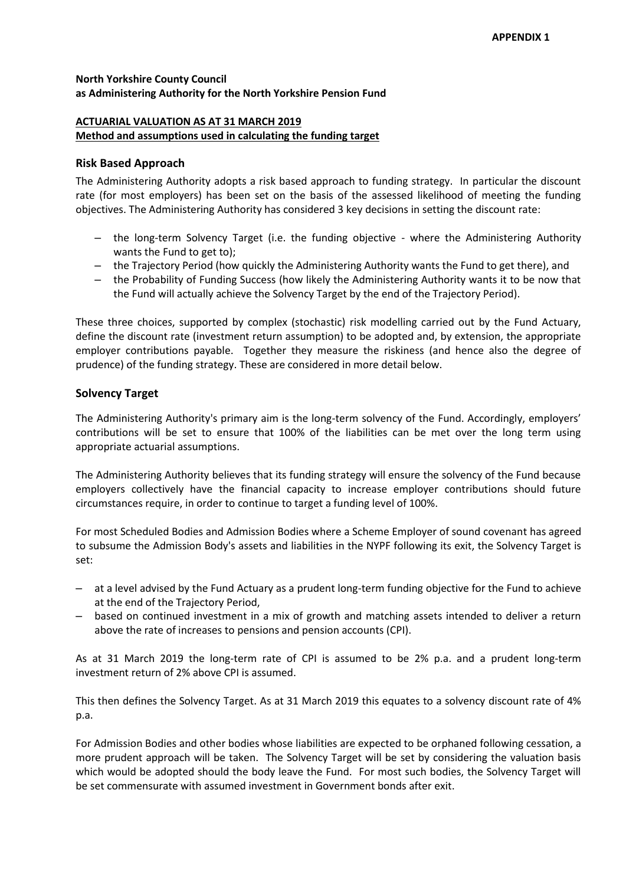## **North Yorkshire County Council as Administering Authority for the North Yorkshire Pension Fund**

## **ACTUARIAL VALUATION AS AT 31 MARCH 2019 Method and assumptions used in calculating the funding target**

## **Risk Based Approach**

The Administering Authority adopts a risk based approach to funding strategy. In particular the discount rate (for most employers) has been set on the basis of the assessed likelihood of meeting the funding objectives. The Administering Authority has considered 3 key decisions in setting the discount rate:

- the long-term Solvency Target (i.e. the funding objective where the Administering Authority wants the Fund to get to);
- the Trajectory Period (how quickly the Administering Authority wants the Fund to get there), and
- the Probability of Funding Success (how likely the Administering Authority wants it to be now that the Fund will actually achieve the Solvency Target by the end of the Trajectory Period).

These three choices, supported by complex (stochastic) risk modelling carried out by the Fund Actuary, define the discount rate (investment return assumption) to be adopted and, by extension, the appropriate employer contributions payable. Together they measure the riskiness (and hence also the degree of prudence) of the funding strategy. These are considered in more detail below.

## **Solvency Target**

The Administering Authority's primary aim is the long-term solvency of the Fund. Accordingly, employers' contributions will be set to ensure that 100% of the liabilities can be met over the long term using appropriate actuarial assumptions.

The Administering Authority believes that its funding strategy will ensure the solvency of the Fund because employers collectively have the financial capacity to increase employer contributions should future circumstances require, in order to continue to target a funding level of 100%.

For most Scheduled Bodies and Admission Bodies where a Scheme Employer of sound covenant has agreed to subsume the Admission Body's assets and liabilities in the NYPF following its exit, the Solvency Target is set:

- at a level advised by the Fund Actuary as a prudent long-term funding objective for the Fund to achieve at the end of the Trajectory Period,
- based on continued investment in a mix of growth and matching assets intended to deliver a return above the rate of increases to pensions and pension accounts (CPI).

As at 31 March 2019 the long-term rate of CPI is assumed to be 2% p.a. and a prudent long-term investment return of 2% above CPI is assumed.

This then defines the Solvency Target. As at 31 March 2019 this equates to a solvency discount rate of 4% p.a.

For Admission Bodies and other bodies whose liabilities are expected to be orphaned following cessation, a more prudent approach will be taken. The Solvency Target will be set by considering the valuation basis which would be adopted should the body leave the Fund. For most such bodies, the Solvency Target will be set commensurate with assumed investment in Government bonds after exit.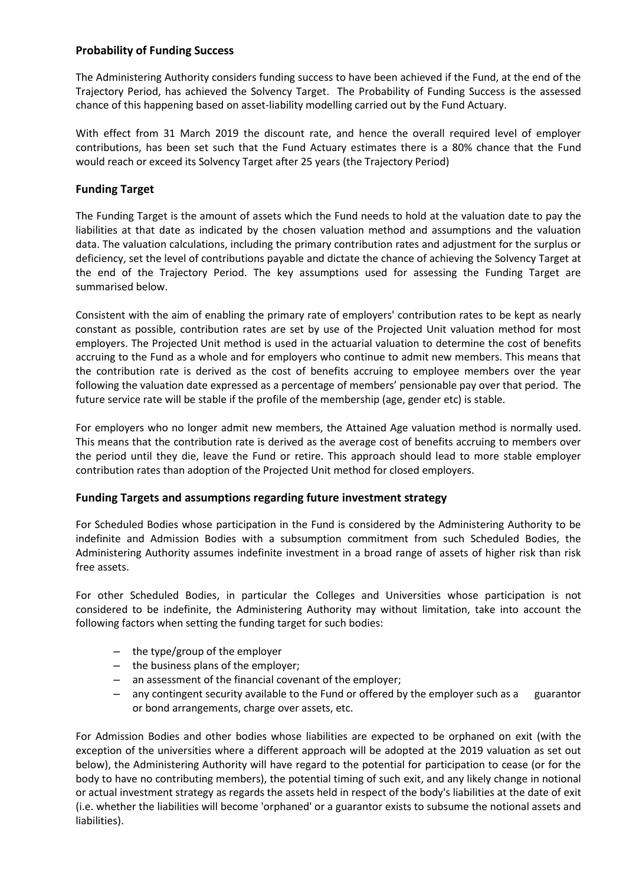# **Probability of Funding Success**

The Administering Authority considers funding success to have been achieved if the Fund, at the end of the Trajectory Period, has achieved the Solvency Target. The Probability of Funding Success is the assessed chance of this happening based on asset-liability modelling carried out by the Fund Actuary.

With effect from 31 March 2019 the discount rate, and hence the overall required level of employer contributions, has been set such that the Fund Actuary estimates there is a 80% chance that the Fund would reach or exceed its Solvency Target after 25 years (the Trajectory Period)

## **Funding Target**

The Funding Target is the amount of assets which the Fund needs to hold at the valuation date to pay the liabilities at that date as indicated by the chosen valuation method and assumptions and the valuation data. The valuation calculations, including the primary contribution rates and adjustment for the surplus or deficiency, set the level of contributions payable and dictate the chance of achieving the Solvency Target at the end of the Trajectory Period. The key assumptions used for assessing the Funding Target are summarised below.

Consistent with the aim of enabling the primary rate of employers' contribution rates to be kept as nearly constant as possible, contribution rates are set by use of the Projected Unit valuation method for most employers. The Projected Unit method is used in the actuarial valuation to determine the cost of benefits accruing to the Fund as a whole and for employers who continue to admit new members. This means that the contribution rate is derived as the cost of benefits accruing to employee members over the year following the valuation date expressed as a percentage of members' pensionable pay over that period. The future service rate will be stable if the profile of the membership (age, gender etc) is stable.

For employers who no longer admit new members, the Attained Age valuation method is normally used. This means that the contribution rate is derived as the average cost of benefits accruing to members over the period until they die, leave the Fund or retire. This approach should lead to more stable employer contribution rates than adoption of the Projected Unit method for closed employers.

# **Funding Targets and assumptions regarding future investment strategy**

For Scheduled Bodies whose participation in the Fund is considered by the Administering Authority to be indefinite and Admission Bodies with a subsumption commitment from such Scheduled Bodies, the Administering Authority assumes indefinite investment in a broad range of assets of higher risk than risk free assets.

For other Scheduled Bodies, in particular the Colleges and Universities whose participation is not considered to be indefinite, the Administering Authority may without limitation, take into account the following factors when setting the funding target for such bodies:

- the type/group of the employer
- the business plans of the employer;
- an assessment of the financial covenant of the employer;
- any contingent security available to the Fund or offered by the employer such as a guarantor or bond arrangements, charge over assets, etc.

For Admission Bodies and other bodies whose liabilities are expected to be orphaned on exit (with the exception of the universities where a different approach will be adopted at the 2019 valuation as set out below), the Administering Authority will have regard to the potential for participation to cease (or for the body to have no contributing members), the potential timing of such exit, and any likely change in notional or actual investment strategy as regards the assets held in respect of the body's liabilities at the date of exit (i.e. whether the liabilities will become 'orphaned' or a guarantor exists to subsume the notional assets and liabilities).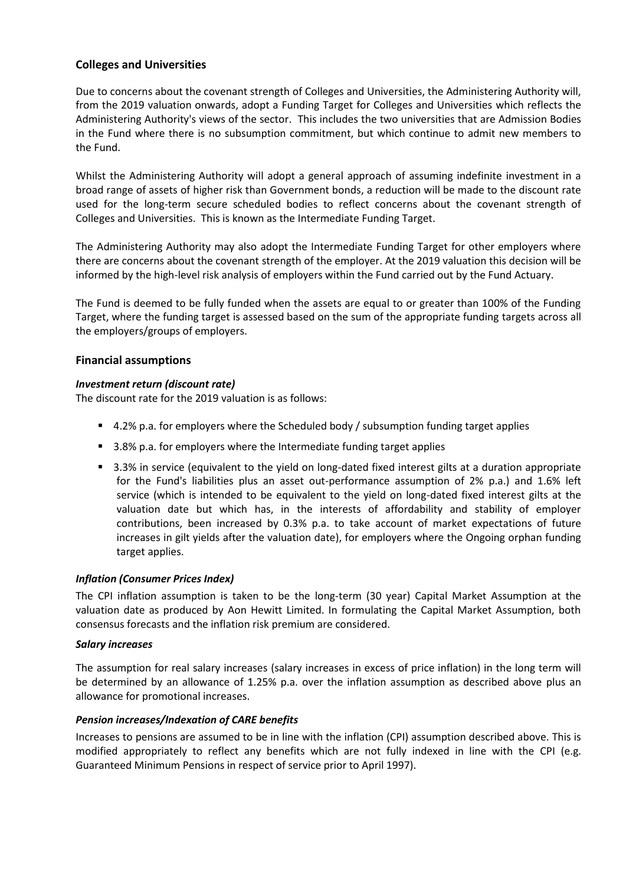# **Colleges and Universities**

Due to concerns about the covenant strength of Colleges and Universities, the Administering Authority will, from the 2019 valuation onwards, adopt a Funding Target for Colleges and Universities which reflects the Administering Authority's views of the sector. This includes the two universities that are Admission Bodies in the Fund where there is no subsumption commitment, but which continue to admit new members to the Fund.

Whilst the Administering Authority will adopt a general approach of assuming indefinite investment in a broad range of assets of higher risk than Government bonds, a reduction will be made to the discount rate used for the long-term secure scheduled bodies to reflect concerns about the covenant strength of Colleges and Universities. This is known as the Intermediate Funding Target.

The Administering Authority may also adopt the Intermediate Funding Target for other employers where there are concerns about the covenant strength of the employer. At the 2019 valuation this decision will be informed by the high-level risk analysis of employers within the Fund carried out by the Fund Actuary.

The Fund is deemed to be fully funded when the assets are equal to or greater than 100% of the Funding Target, where the funding target is assessed based on the sum of the appropriate funding targets across all the employers/groups of employers.

## **Financial assumptions**

## *Investment return (discount rate)*

The discount rate for the 2019 valuation is as follows:

- 4.2% p.a. for employers where the Scheduled body / subsumption funding target applies
- 3.8% p.a. for employers where the Intermediate funding target applies
- 3.3% in service (equivalent to the yield on long-dated fixed interest gilts at a duration appropriate for the Fund's liabilities plus an asset out-performance assumption of 2% p.a.) and 1.6% left service (which is intended to be equivalent to the yield on long-dated fixed interest gilts at the valuation date but which has, in the interests of affordability and stability of employer contributions, been increased by 0.3% p.a. to take account of market expectations of future increases in gilt yields after the valuation date), for employers where the Ongoing orphan funding target applies.

## *Inflation (Consumer Prices Index)*

The CPI inflation assumption is taken to be the long-term (30 year) Capital Market Assumption at the valuation date as produced by Aon Hewitt Limited. In formulating the Capital Market Assumption, both consensus forecasts and the inflation risk premium are considered.

#### *Salary increases*

The assumption for real salary increases (salary increases in excess of price inflation) in the long term will be determined by an allowance of 1.25% p.a. over the inflation assumption as described above plus an allowance for promotional increases.

## *Pension increases/Indexation of CARE benefits*

Increases to pensions are assumed to be in line with the inflation (CPI) assumption described above. This is modified appropriately to reflect any benefits which are not fully indexed in line with the CPI (e.g. Guaranteed Minimum Pensions in respect of service prior to April 1997).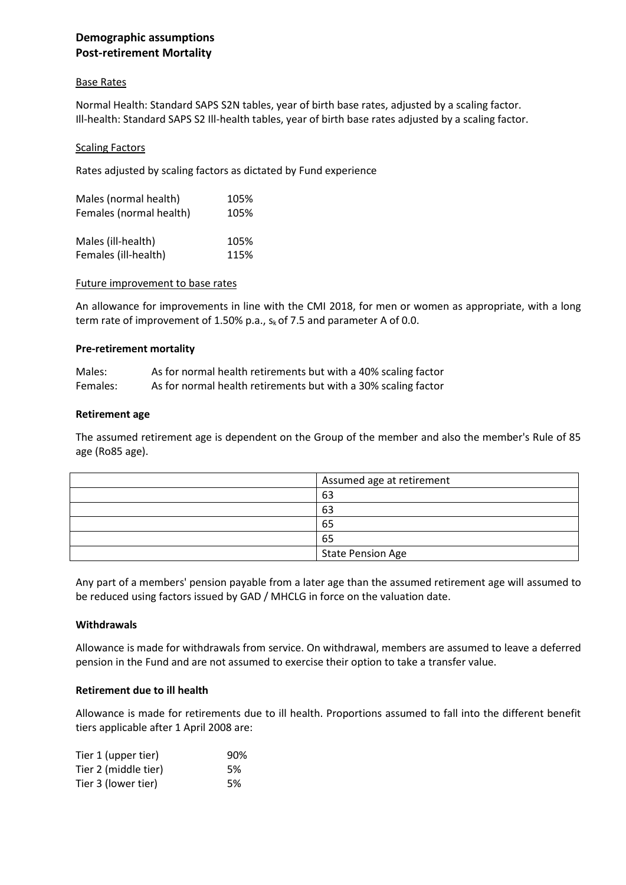# **Demographic assumptions Post-retirement Mortality**

## Base Rates

Normal Health: Standard SAPS S2N tables, year of birth base rates, adjusted by a scaling factor. Ill-health: Standard SAPS S2 Ill-health tables, year of birth base rates adjusted by a scaling factor.

## **Scaling Factors**

Rates adjusted by scaling factors as dictated by Fund experience

| Males (normal health)   | 105% |
|-------------------------|------|
| Females (normal health) | 105% |
|                         |      |
| Males (ill-health)      | 105% |
| Females (ill-health)    | 115% |
|                         |      |

## Future improvement to base rates

An allowance for improvements in line with the CMI 2018, for men or women as appropriate, with a long term rate of improvement of 1.50% p.a.,  $s_k$  of 7.5 and parameter A of 0.0.

## **Pre-retirement mortality**

| Males:   | As for normal health retirements but with a 40% scaling factor |
|----------|----------------------------------------------------------------|
| Females: | As for normal health retirements but with a 30% scaling factor |

## **Retirement age**

The assumed retirement age is dependent on the Group of the member and also the member's Rule of 85 age (Ro85 age).

| Assumed age at retirement |
|---------------------------|
| 63                        |
| 63                        |
| 65                        |
| 65                        |
| <b>State Pension Age</b>  |

Any part of a members' pension payable from a later age than the assumed retirement age will assumed to be reduced using factors issued by GAD / MHCLG in force on the valuation date.

## **Withdrawals**

Allowance is made for withdrawals from service. On withdrawal, members are assumed to leave a deferred pension in the Fund and are not assumed to exercise their option to take a transfer value.

## **Retirement due to ill health**

Allowance is made for retirements due to ill health. Proportions assumed to fall into the different benefit tiers applicable after 1 April 2008 are:

| Tier 1 (upper tier)  | 90% |
|----------------------|-----|
| Tier 2 (middle tier) | .5% |
| Tier 3 (lower tier)  | 5%  |